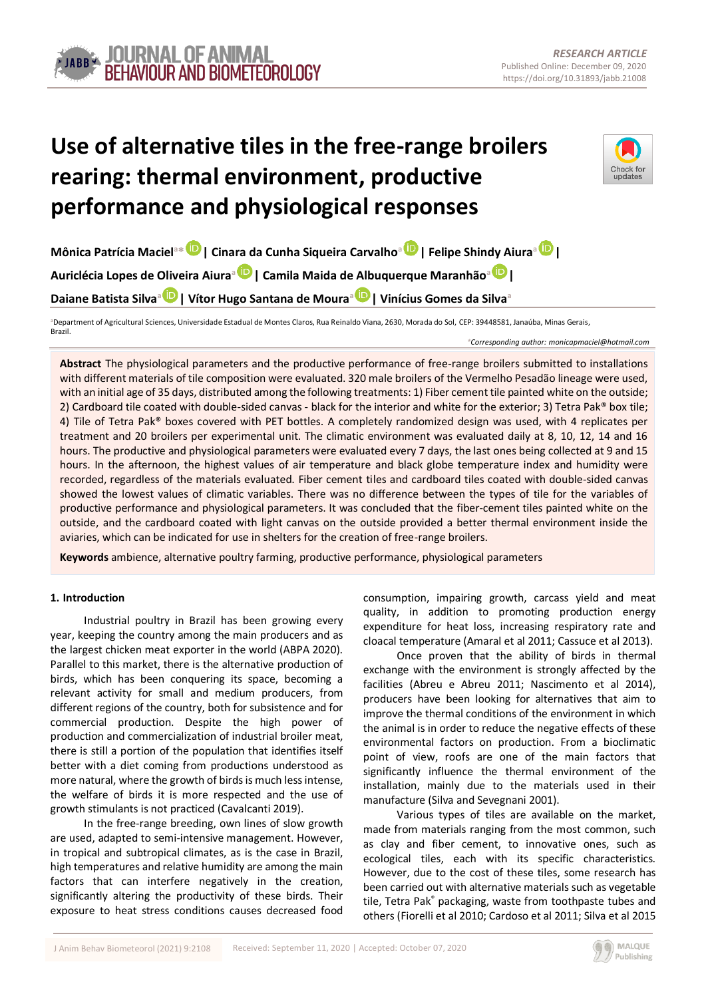# **Use of alternative tiles in the free-range broilers rearing: thermal environment, productive performance and physiological responses**



**Mônica Patrícia Maciel<sup>a</sup>\* | Cina[ra](https://orcid.org/0000-0002-0830-3079) da Cunha Siqueira Carvalho[a](https://orcid.org/0000-0002-3876-209X) | Felipe Shin[dy A](https://orcid.org/0000-0003-0689-3092)iura[a](https://orcid.org/0000-0003-0636-9987) | Auriclécia Lopes de Oliveira Aiura<sup>a</sup> | Camila Maida de Albuquerque Maranhão<sup>a</sup> | Daiane Batista Silva[a](https://orcid.org/0000-0002-7243-6159) | Vítor Hugo Santana de Moura[a](https://orcid.org/0000-0003-2564-4921) | Vinícius Gomes da Silva<sup>a</sup>**

**<sup>a</sup>**Department of Agricultural Sciences, Universidade Estadual de Montes Claros, Rua Reinaldo Viana, 2630, Morada do Sol, CEP: 39448581, Janaúba, Minas Gerais, Brazil.

*\*Corresponding author: monicapmaciel@hotmail.com*

**Abstract** The physiological parameters and the productive performance of free-range broilers submitted to installations with different materials of tile composition were evaluated. 320 male broilers of the Vermelho Pesadão lineage were used, with an initial age of 35 days, distributed among the following treatments: 1) Fiber cement tile painted white on the outside; 2) Cardboard tile coated with double-sided canvas - black for the interior and white for the exterior; 3) Tetra Pak® box tile; 4) Tile of Tetra Pak® boxes covered with PET bottles. A completely randomized design was used, with 4 replicates per treatment and 20 broilers per experimental unit. The climatic environment was evaluated daily at 8, 10, 12, 14 and 16 hours. The productive and physiological parameters were evaluated every 7 days, the last ones being collected at 9 and 15 hours. In the afternoon, the highest values of air temperature and black globe temperature index and humidity were recorded, regardless of the materials evaluated. Fiber cement tiles and cardboard tiles coated with double-sided canvas showed the lowest values of climatic variables. There was no difference between the types of tile for the variables of productive performance and physiological parameters. It was concluded that the fiber-cement tiles painted white on the outside, and the cardboard coated with light canvas on the outside provided a better thermal environment inside the aviaries, which can be indicated for use in shelters for the creation of free-range broilers.

**Keywords** ambience, alternative poultry farming, productive performance, physiological parameters

## **1. Introduction**

Industrial poultry in Brazil has been growing every year, keeping the country among the main producers and as the largest chicken meat exporter in the world (ABPA 2020). Parallel to this market, there is the alternative production of birds, which has been conquering its space, becoming a relevant activity for small and medium producers, from different regions of the country, both for subsistence and for commercial production. Despite the high power of production and commercialization of industrial broiler meat, there is still a portion of the population that identifies itself better with a diet coming from productions understood as more natural, where the growth of birds is much less intense, the welfare of birds it is more respected and the use of growth stimulants is not practiced (Cavalcanti 2019).

In the free-range breeding, own lines of slow growth are used, adapted to semi-intensive management. However, in tropical and subtropical climates, as is the case in Brazil, high temperatures and relative humidity are among the main factors that can interfere negatively in the creation, significantly altering the productivity of these birds. Their exposure to heat stress conditions causes decreased food

consumption, impairing growth, carcass yield and meat quality, in addition to promoting production energy expenditure for heat loss, increasing respiratory rate and cloacal temperature (Amaral et al 2011; Cassuce et al 2013).

Once proven that the ability of birds in thermal exchange with the environment is strongly affected by the facilities (Abreu e Abreu 2011; Nascimento et al 2014), producers have been looking for alternatives that aim to improve the thermal conditions of the environment in which the animal is in order to reduce the negative effects of these environmental factors on production. From a bioclimatic point of view, roofs are one of the main factors that significantly influence the thermal environment of the installation, mainly due to the materials used in their manufacture (Silva and Sevegnani 2001).

Various types of tiles are available on the market, made from materials ranging from the most common, such as clay and fiber cement, to innovative ones, such as ecological tiles, each with its specific characteristics. However, due to the cost of these tiles, some research has been carried out with alternative materials such as vegetable tile, Tetra Pak® packaging, waste from toothpaste tubes and others (Fiorelli et al 2010; Cardoso et al 2011; Silva et al 2015

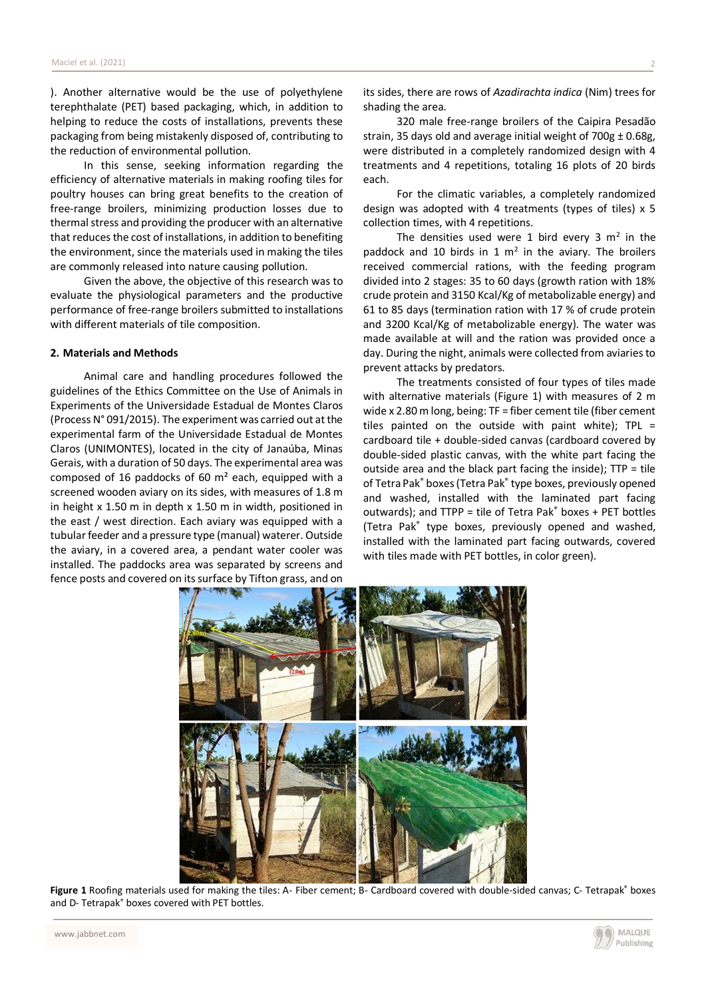). Another alternative would be the use of polyethylene terephthalate (PET) based packaging, which, in addition to helping to reduce the costs of installations, prevents these packaging from being mistakenly disposed of, contributing to the reduction of environmental pollution.

In this sense, seeking information regarding the efficiency of alternative materials in making roofing tiles for poultry houses can bring great benefits to the creation of free-range broilers, minimizing production losses due to thermal stress and providing the producer with an alternative that reduces the cost of installations, in addition to benefiting the environment, since the materials used in making the tiles are commonly released into nature causing pollution.

Given the above, the objective of this research was to evaluate the physiological parameters and the productive performance of free-range broilers submitted to installations with different materials of tile composition.

## **2. Materials and Methods**

Animal care and handling procedures followed the guidelines of the Ethics Committee on the Use of Animals in Experiments of the Universidade Estadual de Montes Claros (Process N° 091/2015). The experiment was carried out at the experimental farm of the Universidade Estadual de Montes Claros (UNIMONTES), located in the city of Janaúba, Minas Gerais, with a duration of 50 days. The experimental area was composed of 16 paddocks of 60 m² each, equipped with a screened wooden aviary on its sides, with measures of 1.8 m in height x 1.50 m in depth x 1.50 m in width, positioned in the east / west direction. Each aviary was equipped with a tubular feeder and a pressure type (manual) waterer. Outside the aviary, in a covered area, a pendant water cooler was installed. The paddocks area was separated by screens and fence posts and covered on its surface by Tifton grass, and on

its sides, there are rows of *Azadirachta indica* (Nim) trees for shading the area.

320 male free-range broilers of the Caipira Pesadão strain, 35 days old and average initial weight of  $700g \pm 0.68g$ , were distributed in a completely randomized design with 4 treatments and 4 repetitions, totaling 16 plots of 20 birds each.

For the climatic variables, a completely randomized design was adopted with 4 treatments (types of tiles) x 5 collection times, with 4 repetitions.

The densities used were 1 bird every 3  $m<sup>2</sup>$  in the paddock and 10 birds in 1  $m<sup>2</sup>$  in the aviary. The broilers received commercial rations, with the feeding program divided into 2 stages: 35 to 60 days (growth ration with 18% crude protein and 3150 Kcal/Kg of metabolizable energy) and 61 to 85 days (termination ration with 17 % of crude protein and 3200 Kcal/Kg of metabolizable energy). The water was made available at will and the ration was provided once a day. During the night, animals were collected from aviaries to prevent attacks by predators.

The treatments consisted of four types of tiles made with alternative materials (Figure 1) with measures of 2 m wide x 2.80 m long, being: TF = fiber cement tile (fiber cement tiles painted on the outside with paint white); TPL = cardboard tile + double-sided canvas (cardboard covered by double-sided plastic canvas, with the white part facing the outside area and the black part facing the inside); TTP = tile of Tetra Pak® boxes (Tetra Pak® type boxes, previously opened and washed, installed with the laminated part facing outwards); and TTPP = tile of Tetra Pak® boxes + PET bottles (Tetra Pak® type boxes, previously opened and washed, installed with the laminated part facing outwards, covered with tiles made with PET bottles, in color green).



Figure 1 Roofing materials used for making the tiles: A- Fiber cement; B- Cardboard covered with double-sided canvas; C- Tetrapak® boxes and D- Tetrapak® boxes covered with PET bottles.

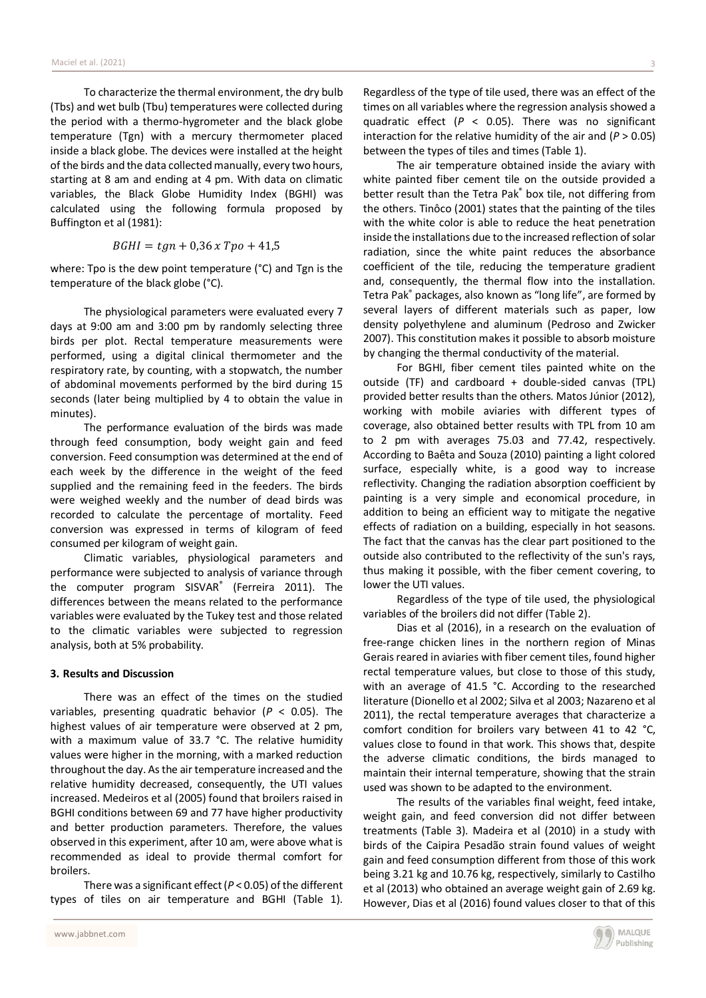To characterize the thermal environment, the dry bulb (Tbs) and wet bulb (Tbu) temperatures were collected during the period with a thermo-hygrometer and the black globe temperature (Tgn) with a mercury thermometer placed inside a black globe. The devices were installed at the height of the birds and the data collected manually, every two hours, starting at 8 am and ending at 4 pm. With data on climatic variables, the Black Globe Humidity Index (BGHI) was calculated using the following formula proposed by Buffington et al (1981):

$$
BGHI = tgn + 0.36 \times Tpo + 41.5
$$

where: Tpo is the dew point temperature (°C) and Tgn is the temperature of the black globe (°C).

The physiological parameters were evaluated every 7 days at 9:00 am and 3:00 pm by randomly selecting three birds per plot. Rectal temperature measurements were performed, using a digital clinical thermometer and the respiratory rate, by counting, with a stopwatch, the number of abdominal movements performed by the bird during 15 seconds (later being multiplied by 4 to obtain the value in minutes).

The performance evaluation of the birds was made through feed consumption, body weight gain and feed conversion. Feed consumption was determined at the end of each week by the difference in the weight of the feed supplied and the remaining feed in the feeders. The birds were weighed weekly and the number of dead birds was recorded to calculate the percentage of mortality. Feed conversion was expressed in terms of kilogram of feed consumed per kilogram of weight gain.

Climatic variables, physiological parameters and performance were subjected to analysis of variance through the computer program SISVAR® (Ferreira 2011). The differences between the means related to the performance variables were evaluated by the Tukey test and those related to the climatic variables were subjected to regression analysis, both at 5% probability.

#### **3. Results and Discussion**

There was an effect of the times on the studied variables, presenting quadratic behavior (*P* < 0.05). The highest values of air temperature were observed at 2 pm, with a maximum value of 33.7 °C. The relative humidity values were higher in the morning, with a marked reduction throughout the day. As the air temperature increased and the relative humidity decreased, consequently, the UTI values increased. Medeiros et al (2005) found that broilers raised in BGHI conditions between 69 and 77 have higher productivity and better production parameters. Therefore, the values observed in this experiment, after 10 am, were above what is recommended as ideal to provide thermal comfort for broilers.

There was a significant effect (*P* < 0.05) of the different types of tiles on air temperature and BGHI (Table 1).

Regardless of the type of tile used, there was an effect of the times on all variables where the regression analysis showed a quadratic effect (*P* < 0.05). There was no significant interaction for the relative humidity of the air and  $(P > 0.05)$ between the types of tiles and times (Table 1).

The air temperature obtained inside the aviary with white painted fiber cement tile on the outside provided a better result than the Tetra Pak® box tile, not differing from the others. Tinôco (2001) states that the painting of the tiles with the white color is able to reduce the heat penetration inside the installations due to the increased reflection of solar radiation, since the white paint reduces the absorbance coefficient of the tile, reducing the temperature gradient and, consequently, the thermal flow into the installation. Tetra Pak® packages, also known as "long life", are formed by several layers of different materials such as paper, low density polyethylene and aluminum (Pedroso and Zwicker 2007). This constitution makes it possible to absorb moisture by changing the thermal conductivity of the material.

For BGHI, fiber cement tiles painted white on the outside (TF) and cardboard + double-sided canvas (TPL) provided better results than the others. Matos Júnior (2012), working with mobile aviaries with different types of coverage, also obtained better results with TPL from 10 am to 2 pm with averages 75.03 and 77.42, respectively. According to Baêta and Souza (2010) painting a light colored surface, especially white, is a good way to increase reflectivity. Changing the radiation absorption coefficient by painting is a very simple and economical procedure, in addition to being an efficient way to mitigate the negative effects of radiation on a building, especially in hot seasons. The fact that the canvas has the clear part positioned to the outside also contributed to the reflectivity of the sun's rays, thus making it possible, with the fiber cement covering, to lower the UTI values.

Regardless of the type of tile used, the physiological variables of the broilers did not differ (Table 2).

Dias et al (2016), in a research on the evaluation of free-range chicken lines in the northern region of Minas Gerais reared in aviaries with fiber cement tiles, found higher rectal temperature values, but close to those of this study, with an average of 41.5 °C. According to the researched literature (Dionello et al 2002; Silva et al 2003; Nazareno et al 2011), the rectal temperature averages that characterize a comfort condition for broilers vary between 41 to 42 °C, values close to found in that work. This shows that, despite the adverse climatic conditions, the birds managed to maintain their internal temperature, showing that the strain used was shown to be adapted to the environment.

The results of the variables final weight, feed intake, weight gain, and feed conversion did not differ between treatments (Table 3). Madeira et al (2010) in a study with birds of the Caipira Pesadão strain found values of weight gain and feed consumption different from those of this work being 3.21 kg and 10.76 kg, respectively, similarly to Castilho et al (2013) who obtained an average weight gain of 2.69 kg. However, Dias et al (2016) found values closer to that of this

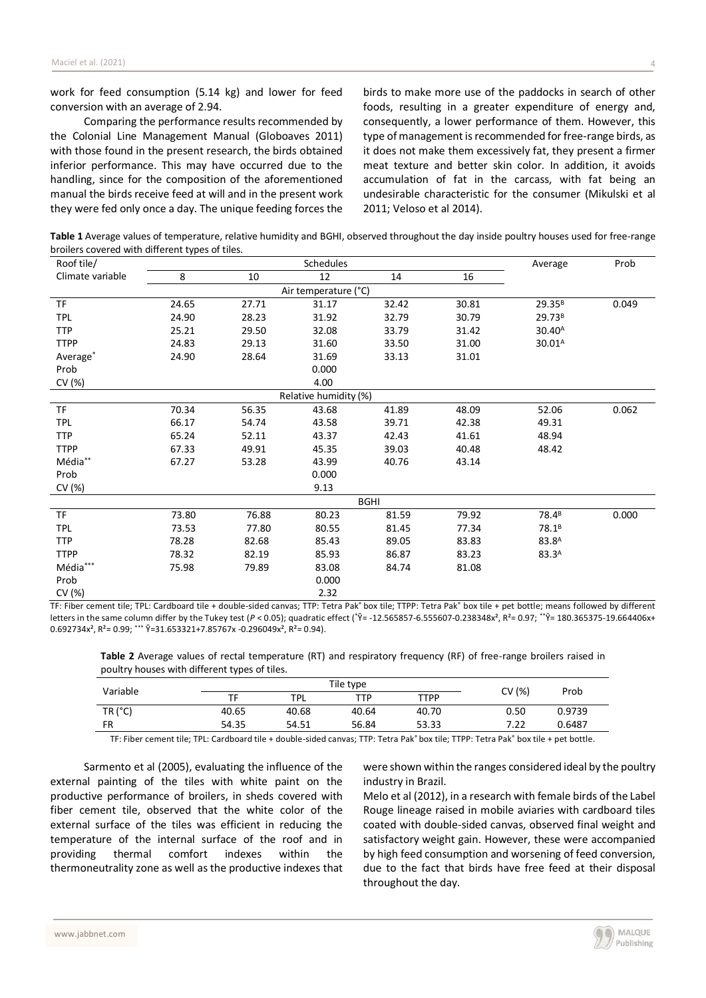work for feed consumption (5.14 kg) and lower for feed conversion with an average of 2.94.

Comparing the performance results recommended by the Colonial Line Management Manual (Globoaves 2011) with those found in the present research, the birds obtained inferior performance. This may have occurred due to the handling, since for the composition of the aforementioned manual the birds receive feed at will and in the present work they were fed only once a day. The unique feeding forces the

birds to make more use of the paddocks in search of other foods, resulting in a greater expenditure of energy and, consequently, a lower performance of them. However, this type of management is recommended for free-range birds, as it does not make them excessively fat, they present a firmer meat texture and better skin color. In addition, it avoids accumulation of fat in the carcass, with fat being an undesirable characteristic for the consumer (Mikulski et al 2011; Veloso et al 2014).

**Table 1** Average values of temperature, relative humidity and BGHI, observed throughout the day inside poultry houses used for free-range broilers covered with different types of tiles.

| Roof tile/            | <b>Schedules</b> |       |       |       |       | Average            | Prob  |  |
|-----------------------|------------------|-------|-------|-------|-------|--------------------|-------|--|
| Climate variable      | 8                | 10    | 12    | 14    | 16    |                    |       |  |
| Air temperature (°C)  |                  |       |       |       |       |                    |       |  |
| <b>TF</b>             | 24.65            | 27.71 | 31.17 | 32.42 | 30.81 | 29.35 <sup>B</sup> | 0.049 |  |
| <b>TPL</b>            | 24.90            | 28.23 | 31.92 | 32.79 | 30.79 | 29.73 <sup>B</sup> |       |  |
| <b>TTP</b>            | 25.21            | 29.50 | 32.08 | 33.79 | 31.42 | 30.40 <sup>A</sup> |       |  |
| <b>TTPP</b>           | 24.83            | 29.13 | 31.60 | 33.50 | 31.00 | 30.01 <sup>A</sup> |       |  |
| Average*              | 24.90            | 28.64 | 31.69 | 33.13 | 31.01 |                    |       |  |
| Prob                  |                  |       | 0.000 |       |       |                    |       |  |
| CV (%)                |                  |       | 4.00  |       |       |                    |       |  |
| Relative humidity (%) |                  |       |       |       |       |                    |       |  |
| <b>TF</b>             | 70.34            | 56.35 | 43.68 | 41.89 | 48.09 | 52.06              | 0.062 |  |
| <b>TPL</b>            | 66.17            | 54.74 | 43.58 | 39.71 | 42.38 | 49.31              |       |  |
| <b>TTP</b>            | 65.24            | 52.11 | 43.37 | 42.43 | 41.61 | 48.94              |       |  |
| <b>TTPP</b>           | 67.33            | 49.91 | 45.35 | 39.03 | 40.48 | 48.42              |       |  |
| Média**               | 67.27            | 53.28 | 43.99 | 40.76 | 43.14 |                    |       |  |
| Prob                  |                  |       | 0.000 |       |       |                    |       |  |
| CV(%)                 |                  |       | 9.13  |       |       |                    |       |  |
| <b>BGHI</b>           |                  |       |       |       |       |                    |       |  |
| <b>TF</b>             | 73.80            | 76.88 | 80.23 | 81.59 | 79.92 | 78.4 <sup>B</sup>  | 0.000 |  |
| <b>TPL</b>            | 73.53            | 77.80 | 80.55 | 81.45 | 77.34 | 78.1 <sup>B</sup>  |       |  |
| <b>TTP</b>            | 78.28            | 82.68 | 85.43 | 89.05 | 83.83 | 83.8 <sup>A</sup>  |       |  |
| <b>TTPP</b>           | 78.32            | 82.19 | 85.93 | 86.87 | 83.23 | 83.3A              |       |  |
| Média***              | 75.98            | 79.89 | 83.08 | 84.74 | 81.08 |                    |       |  |
| Prob                  |                  |       | 0.000 |       |       |                    |       |  |
| CV (%)                |                  |       | 2.32  |       |       |                    |       |  |

TF: Fiber cement tile; TPL: Cardboard tile + double-sided canvas; TTP: Tetra Pak® box tile; TTPP: Tetra Pak® box tile + pet bottle; means followed by different letters in the same column differ by the Tukey test (*P* < 0.05); quadratic effect (\* $\hat{Y}$ = -12.565857-6.555607-0.238348x<sup>2</sup>, R<sup>2</sup>= 0.97; \*\* $\hat{Y}$ = 180.365375-19.664406x+  $0.692734x^2$ ,  $R^2 = 0.99$ ; \*\*\*  $\hat{Y} = 31.653321 + 7.85767x - 0.296049x^2$ ,  $R^2 = 0.94$ ).

**Table 2** Average values of rectal temperature (RT) and respiratory frequency (RF) of free-range broilers raised in poultry houses with different types of tiles.

| Variable      | Tile type |            |       |       | CV (%) | Prob   |  |
|---------------|-----------|------------|-------|-------|--------|--------|--|
|               | TF        | <b>TPL</b> | TTP   | TTPP  |        |        |  |
| $TR$ ( $°C$ ) | 40.65     | 40.68      | 40.64 | 40.70 | 0.50   | 0.9739 |  |
| <b>FR</b>     | 54.35     | 54.51      | 56.84 | 53.33 | 7.22   | 0.6487 |  |

TF: Fiber cement tile; TPL: Cardboard tile + double-sided canvas; TTP: Tetra Pak® box tile; TTPP: Tetra Pak® box tile + pet bottle.

Sarmento et al (2005), evaluating the influence of the external painting of the tiles with white paint on the productive performance of broilers, in sheds covered with fiber cement tile, observed that the white color of the external surface of the tiles was efficient in reducing the temperature of the internal surface of the roof and in providing thermal comfort indexes within the thermoneutrality zone as well as the productive indexes that were shown within the ranges considered ideal by the poultry industry in Brazil.

Melo et al (2012), in a research with female birds of the Label Rouge lineage raised in mobile aviaries with cardboard tiles coated with double-sided canvas, observed final weight and satisfactory weight gain. However, these were accompanied by high feed consumption and worsening of feed conversion, due to the fact that birds have free feed at their disposal throughout the day.

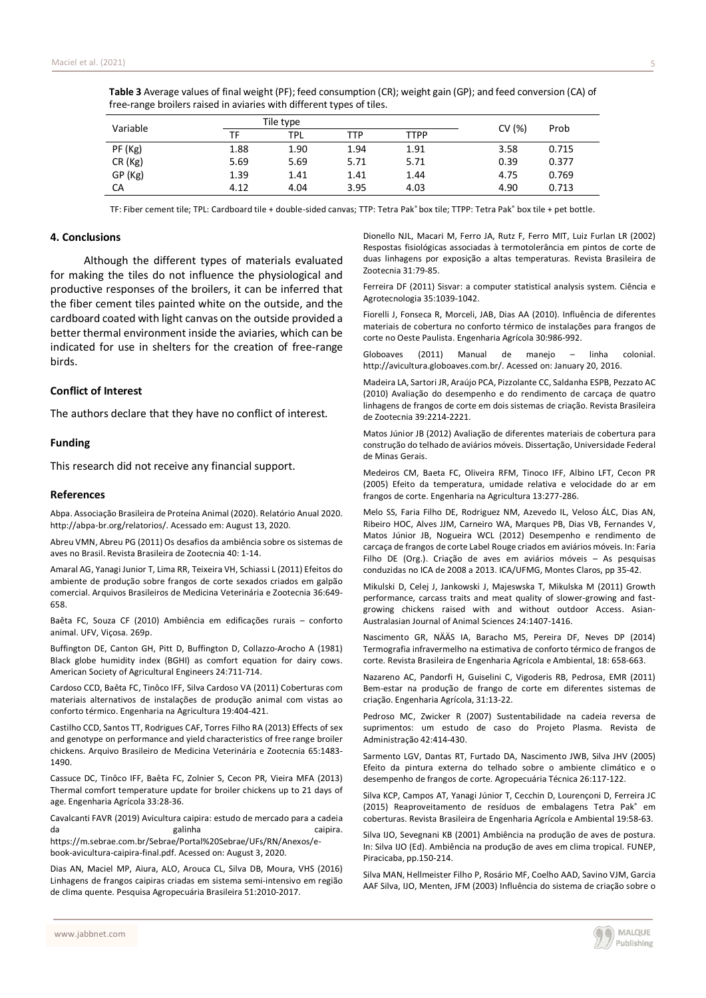| Variable | Tile type |            |            |             | CV(%) | Prob  |
|----------|-----------|------------|------------|-------------|-------|-------|
|          | ТF        | <b>TPL</b> | <b>TTP</b> | <b>TTPP</b> |       |       |
| PF (Kg)  | 1.88      | 1.90       | 1.94       | 1.91        | 3.58  | 0.715 |
| CR (Kg)  | 5.69      | 5.69       | 5.71       | 5.71        | 0.39  | 0.377 |
| GP (Kg)  | 1.39      | 1.41       | 1.41       | 1.44        | 4.75  | 0.769 |
| CA       | 4.12      | 4.04       | 3.95       | 4.03        | 4.90  | 0.713 |

**Table 3** Average values of final weight (PF); feed consumption (CR); weight gain (GP); and feed conversion (CA) of free-range broilers raised in aviaries with different types of tiles.

TF: Fiber cement tile; TPL: Cardboard tile + double-sided canvas; TTP: Tetra Pak® box tile; TTPP: Tetra Pak® box tile + pet bottle.

## **4. Conclusions**

Although the different types of materials evaluated for making the tiles do not influence the physiological and productive responses of the broilers, it can be inferred that the fiber cement tiles painted white on the outside, and the cardboard coated with light canvas on the outside provided a better thermal environment inside the aviaries, which can be indicated for use in shelters for the creation of free-range birds.

## **Conflict of Interest**

The authors declare that they have no conflict of interest.

#### **Funding**

This research did not receive any financial support.

#### **References**

Abpa. Associação Brasileira de Proteína Animal (2020). Relatório Anual 2020. http://abpa-br.org/relatorios/. Acessado em: August 13, 2020.

Abreu VMN, Abreu PG (2011) Os desafios da ambiência sobre os sistemas de aves no Brasil. Revista Brasileira de Zootecnia 40: 1-14.

Amaral AG, Yanagi Junior T, Lima RR, Teixeira VH, Schiassi L (2011) Efeitos do ambiente de produção sobre frangos de corte sexados criados em galpão comercial. Arquivos Brasileiros de Medicina Veterinária e Zootecnia 36:649- 658.

Baêta FC, Souza CF (2010) Ambiência em edificações rurais – conforto animal. UFV, Viçosa. 269p.

Buffington DE, Canton GH, Pitt D, Buffington D, Collazzo-Arocho A (1981) Black globe humidity index (BGHI) as comfort equation for dairy cows. American Society of Agricultural Engineers 24:711-714.

Cardoso CCD, Baêta FC, Tinôco IFF, Silva Cardoso VA (2011) Coberturas com materiais alternativos de instalações de produção animal com vistas ao conforto térmico. Engenharia na Agricultura 19:404-421.

Castilho CCD, Santos TT, Rodrigues CAF, Torres Filho RA (2013) Effects of sex and genotype on performance and yield characteristics of free range broiler chickens. Arquivo Brasileiro de Medicina Veterinária e Zootecnia 65:1483- 1490.

Cassuce DC, Tinôco IFF, Baêta FC, Zolnier S, Cecon PR, Vieira MFA (2013) Thermal comfort temperature update for broiler chickens up to 21 days of age. Engenharia Agrícola 33:28-36.

Cavalcanti FAVR (2019) Avicultura caipira: estudo de mercado para a cadeia da galinha caipira. https://m.sebrae.com.br/Sebrae/Portal%20Sebrae/UFs/RN/Anexos/e-

book-avicultura-caipira-final.pdf. Acessed on: August 3, 2020.

Dias AN, Maciel MP, Aiura, ALO, Arouca CL, Silva DB, Moura, VHS (2016) Linhagens de frangos caipiras criadas em sistema semi-intensivo em região de clima quente. Pesquisa Agropecuária Brasileira 51:2010-2017.

Dionello NJL, Macari M, Ferro JA, Rutz F, Ferro MIT, Luiz Furlan LR (2002) Respostas fisiológicas associadas à termotolerância em pintos de corte de duas linhagens por exposição a altas temperaturas. Revista Brasileira de Zootecnia 31:79-85.

Ferreira DF (2011) Sisvar: a computer statistical analysis system. Ciência e Agrotecnologia 35:1039-1042.

Fiorelli J, Fonseca R, Morceli, JAB, Dias AA (2010). Influência de diferentes materiais de cobertura no conforto térmico de instalações para frangos de corte no Oeste Paulista. Engenharia Agrícola 30:986-992.

Globoaves (2011) Manual de manejo – linha colonial. http://avicultura.globoaves.com.br/. Acessed on: January 20, 2016.

Madeira LA, Sartori JR, Araújo PCA, Pizzolante CC, Saldanha ESPB, Pezzato AC (2010) Avaliação do desempenho e do rendimento de carcaça de quatro linhagens de frangos de corte em dois sistemas de criação. Revista Brasileira de Zootecnia 39:2214-2221.

Matos Júnior JB (2012) Avaliação de diferentes materiais de cobertura para construção do telhado de aviários móveis. Dissertação, Universidade Federal de Minas Gerais.

Medeiros CM, Baeta FC, Oliveira RFM, Tinoco IFF, Albino LFT, Cecon PR (2005) Efeito da temperatura, umidade relativa e velocidade do ar em frangos de corte. Engenharia na Agricultura 13:277-286.

Melo SS, Faria Filho DE, Rodriguez NM, Azevedo IL, Veloso ÁLC, Dias AN, Ribeiro HOC, Alves JJM, Carneiro WA, Marques PB, Dias VB, Fernandes V, Matos Júnior JB, Nogueira WCL (2012) Desempenho e rendimento de carcaça de frangos de corte Label Rouge criados em aviários móveis. In: Faria Filho DE (Org.). Criação de aves em aviários móveis – As pesquisas conduzidas no ICA de 2008 a 2013. ICA/UFMG, Montes Claros, pp 35-42.

Mikulski D, Celej J, Jankowski J, Majeswska T, Mikulska M (2011) Growth performance, carcass traits and meat quality of slower-growing and fastgrowing chickens raised with and without outdoor Access. Asian-Australasian Journal of Animal Sciences 24:1407-1416.

Nascimento GR, NÄÄS IA, Baracho MS, Pereira DF, Neves DP (2014) Termografia infravermelho na estimativa de conforto térmico de frangos de corte. Revista Brasileira de Engenharia Agrícola e Ambiental, 18: 658-663.

Nazareno AC, Pandorfi H, Guiselini C, Vigoderis RB, Pedrosa, EMR (2011) Bem-estar na produção de frango de corte em diferentes sistemas de criação. Engenharia Agrícola, 31:13-22.

Pedroso MC, Zwicker R (2007) Sustentabilidade na cadeia reversa de suprimentos: um estudo de caso do Projeto Plasma. Revista de Administração 42:414-430.

Sarmento LGV, Dantas RT, Furtado DA, Nascimento JWB, Silva JHV (2005) Efeito da pintura externa do telhado sobre o ambiente climático e o desempenho de frangos de corte. Agropecuária Técnica 26:117-122.

Silva KCP, Campos AT, Yanagi Júnior T, Cecchin D, Lourençoni D, Ferreira JC (2015) Reaproveitamento de resíduos de embalagens Tetra Pak® em coberturas. Revista Brasileira de Engenharia Agrícola e Ambiental 19:58-63.

Silva IJO, Sevegnani KB (2001) Ambiência na produção de aves de postura. In: Silva IJO (Ed). Ambiência na produção de aves em clima tropical. FUNEP, Piracicaba, pp.150-214.

Silva MAN, Hellmeister Filho P, Rosário MF, Coelho AAD, Savino VJM, Garcia AAF Silva, IJO, Menten, JFM (2003) Influência do sistema de criação sobre o